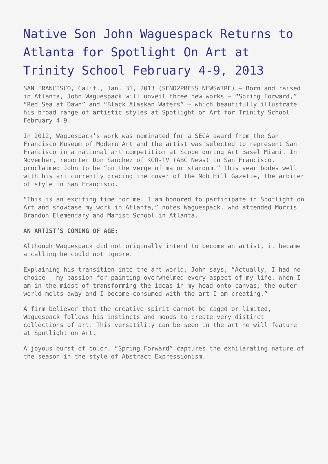## [Native Son John Waguespack Returns to](https://www.send2press.com/wire/native-son-john-waguespack-returns-to-atlanta-for-spotlight-on-art-at-trinity-school-february-4-9_2013-01-0131-001/) [Atlanta for Spotlight On Art at](https://www.send2press.com/wire/native-son-john-waguespack-returns-to-atlanta-for-spotlight-on-art-at-trinity-school-february-4-9_2013-01-0131-001/) [Trinity School February 4-9, 2013](https://www.send2press.com/wire/native-son-john-waguespack-returns-to-atlanta-for-spotlight-on-art-at-trinity-school-february-4-9_2013-01-0131-001/)

SAN FRANCISCO, Calif., Jan. 31, 2013 (SEND2PRESS NEWSWIRE) — Born and raised in Atlanta, John Waguespack will unveil three new works – "Spring Forward," "Red Sea at Dawn" and "Black Alaskan Waters" – which beautifully illustrate his broad range of artistic styles at Spotlight on Art for Trinity School February 4-9.

In 2012, Waguespack's work was nominated for a SECA award from the San Francisco Museum of Modern Art and the artist was selected to represent San Francisco in a national art competition at Scope during Art Basel Miami. In November, reporter Don Sanchez of KGO-TV (ABC News) in San Francisco, proclaimed John to be "on the verge of major stardom." This year bodes well with his art currently gracing the cover of the Nob Hill Gazette, the arbiter of style in San Francisco.

"This is an exciting time for me. I am honored to participate in Spotlight on Art and showcase my work in Atlanta," notes Waguespack, who attended Morris Brandon Elementary and Marist School in Atlanta.

## **AN ARTIST'S COMING OF AGE:**

Although Waguespack did not originally intend to become an artist, it became a calling he could not ignore.

Explaining his transition into the art world, John says, "Actually, I had no choice – my passion for painting overwhelmed every aspect of my life. When I am in the midst of transforming the ideas in my head onto canvas, the outer world melts away and I become consumed with the art I am creating."

A firm believer that the creative spirit cannot be caged or limited, Waguespack follows his instincts and moods to create very distinct collections of art. This versatility can be seen in the art he will feature at Spotlight on Art.

A joyous burst of color, "Spring Forward" captures the exhilarating nature of the season in the style of Abstract Expressionism.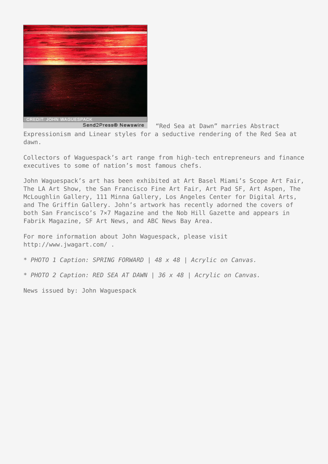

Send2Press® Newswire "Red Sea at Dawn" marries Abstract Expressionism and Linear styles for a seductive rendering of the Red Sea at dawn.

Collectors of Waguespack's art range from high-tech entrepreneurs and finance executives to some of nation's most famous chefs.

John Waguespack's art has been exhibited at Art Basel Miami's Scope Art Fair, The LA Art Show, the San Francisco Fine Art Fair, Art Pad SF, Art Aspen, The McLoughlin Gallery, 111 Minna Gallery, Los Angeles Center for Digital Arts, and The Griffin Gallery. John's artwork has recently adorned the covers of both San Francisco's 7×7 Magazine and the Nob Hill Gazette and appears in Fabrik Magazine, SF Art News, and ABC News Bay Area.

For more information about John Waguespack, please visit http://www.jwagart.com/ .

*\* PHOTO 1 Caption: SPRING FORWARD | 48 x 48 | Acrylic on Canvas.*

*\* PHOTO 2 Caption: RED SEA AT DAWN | 36 x 48 | Acrylic on Canvas.*

News issued by: John Waguespack